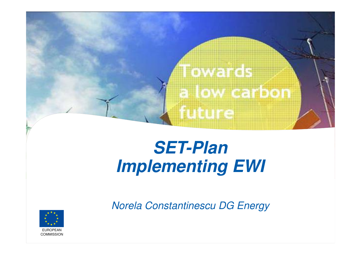

## **SET-PlanImplementing EWI**

Norela Constantinescu DG Energy

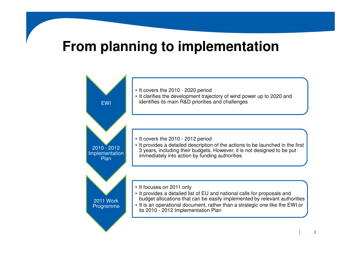## **From planning to implementation**

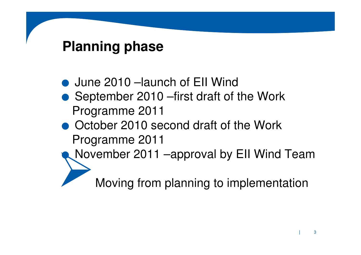## **Planning phase**

.June 2010 –launch of EII Wind ● September 2010 – first draft of the Work Programme 2011• October 2010 second draft of the Work  $\bullet$ Programme 2011 November 2011 –approval by EII Wind TeamMoving from planning to implementation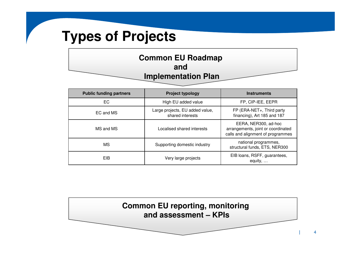## **Types of Projects**

| <b>Common EU Roadmap</b>   |
|----------------------------|
| and                        |
| <b>Implementation Plan</b> |

| <b>Public funding partners</b> | <b>Project typology</b>                             | <b>Instruments</b>                                                                              |
|--------------------------------|-----------------------------------------------------|-------------------------------------------------------------------------------------------------|
| EC                             | High EU added value                                 | FP, CIP-IEE, EEPR                                                                               |
| EC and MS                      | Large projects, EU added value,<br>shared interests | FP (ERA-NET+, Third party<br>financing), Art 185 and 187                                        |
| MS and MS                      | Localised shared interests                          | EERA, NER300, ad-hoc<br>arrangements, joint or coordinated<br>calls and alignment of programmes |
| МS                             | Supporting domestic industry                        | national programmes,<br>structural funds, ETS, NER300                                           |
| <b>EIB</b>                     | Very large projects                                 | EIB loans, RSFF, guarantees,<br>equity,                                                         |



 $\overline{\mathbf{4}}$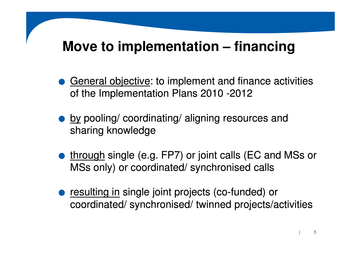## **Move to implementation – financing**

- **.** General objective: to implement and finance activities of the Implementation Plans 2010 -2012
- **.** by pooling/ coordinating/ aligning resources and sharing knowledge
- **through single (e.g. FP7) or joint calls (EC and MSs or** MSs only) or coordinated/ synchronised calls
- **.** resulting in single joint projects (co-funded) or coordinated/ synchronised/ twinned projects/activities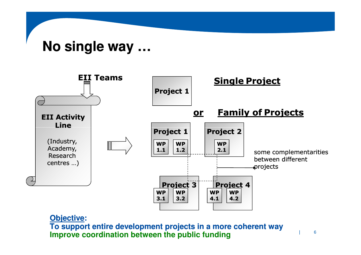## **No single way …**



### **Objective:**

 **To support entire development projects in a more coherent wayImprove coordination between the public funding**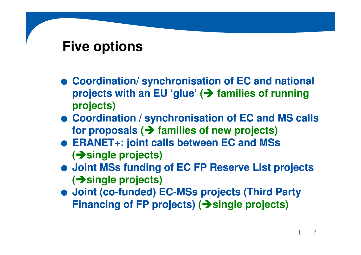## **Five options**

- .**Coordination/ synchronisation of EC and national projects with an EU 'glue' (**- **families of running projects)**
- .**Coordination / synchronisation of EC and MS calls for proposals (**- **families of new projects)**
- .**ERANET+: joint calls between EC and MSs (**-**single projects)**
- .**Joint MSs funding of EC FP Reserve List projects (**-**single projects)**
- .**Joint (co (co-funded) EC funded) EC-MSs projects (Third Party MSs Financing of FP projects) (**-**single projects)**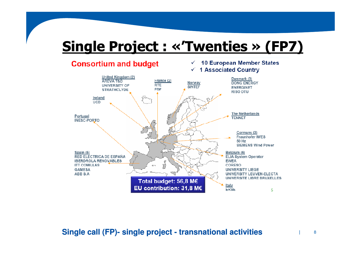# Single Project : «'Twenties » (FP7)<br>Consertium and budget very state of the European Member States

### **Consortium and budget**

#### ✓ **1 Associated Country**



### **Single call (FP) (FP)- single project - transnational activities**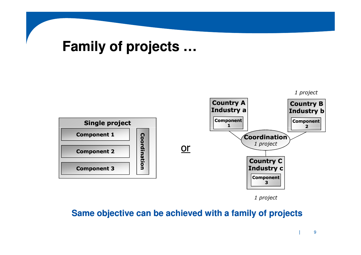## **Family of projects …**



1 project

### **Same objective can be achieved with a family of projects**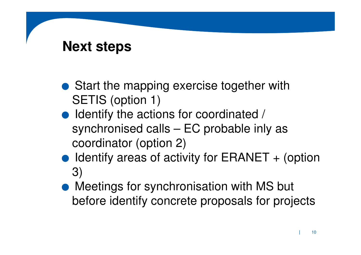## **Next steps**

- Start the mapping exercise together with SETIS (option 1)
- Identify the actions for coordinated / synchronised calls – EC probable inly as coordinator (option 2)
- $\bullet$  Identify areas of activity for ERANET  $+$  (option 3)
- Meetings for synchronisation with MS but before identify concrete proposals for projects